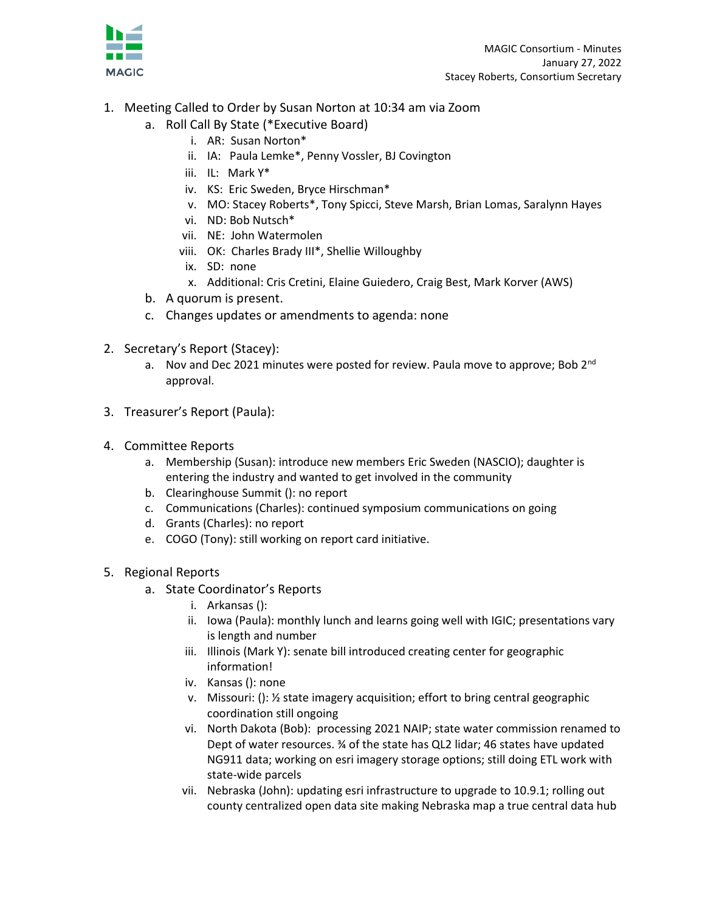

- 1. Meeting Called to Order by Susan Norton at 10:34 am via Zoom
	- a. Roll Call By State (\*Executive Board)
		- i. AR: Susan Norton\*
		- ii. IA: Paula Lemke\*, Penny Vossler, BJ Covington
		- iii. IL: Mark Y\*
		- iv. KS: Eric Sweden, Bryce Hirschman\*
		- v. MO: Stacey Roberts\*, Tony Spicci, Steve Marsh, Brian Lomas, Saralynn Hayes
		- vi. ND: Bob Nutsch\*
		- vii. NE: John Watermolen
		- viii. OK: Charles Brady III\*, Shellie Willoughby
		- ix. SD: none
		- x. Additional: Cris Cretini, Elaine Guiedero, Craig Best, Mark Korver (AWS)
	- b. A quorum is present.
	- c. Changes updates or amendments to agenda: none
- 2. Secretary's Report (Stacey):
	- a. Nov and Dec 2021 minutes were posted for review. Paula move to approve; Bob  $2^{nd}$ approval.
- 3. Treasurer's Report (Paula):
- 4. Committee Reports
	- a. Membership (Susan): introduce new members Eric Sweden (NASCIO); daughter is entering the industry and wanted to get involved in the community
	- b. Clearinghouse Summit (): no report
	- c. Communications (Charles): continued symposium communications on going
	- d. Grants (Charles): no report
	- e. COGO (Tony): still working on report card initiative.
- 5. Regional Reports
	- a. State Coordinator's Reports
		- i. Arkansas ():
		- ii. Iowa (Paula): monthly lunch and learns going well with IGIC; presentations vary is length and number
		- iii. Illinois (Mark Y): senate bill introduced creating center for geographic information!
		- iv. Kansas (): none
		- v. Missouri: (): ½ state imagery acquisition; effort to bring central geographic coordination still ongoing
		- vi. North Dakota (Bob): processing 2021 NAIP; state water commission renamed to Dept of water resources. ¾ of the state has QL2 lidar; 46 states have updated NG911 data; working on esri imagery storage options; still doing ETL work with state-wide parcels
		- vii. Nebraska (John): updating esri infrastructure to upgrade to 10.9.1; rolling out county centralized open data site making Nebraska map a true central data hub